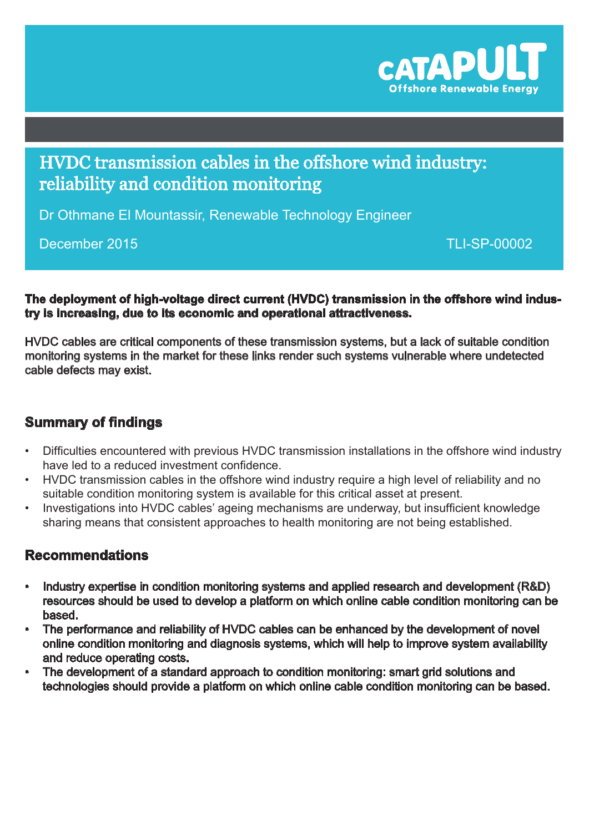

# HVDC transmission cables in the offshore wind industry: reliability and condition monitoring

Dr Othmane El Mountassir, Renewable Technology Engineer

### December 2015

TLI-SP-00002

**The deployment of high-voltage direct current (HVDC) transmission in the offshore wind industry is increasing, due to its economic and operational attractiveness.** 

HVDC cables are critical components of these transmission systems, but a lack of suitable condition monitoring systems in the market for these links render such systems vulnerable where undetected cable defects may exist.

## **Summary of findings**

- Difficulties encountered with previous HVDC transmission installations in the offshore wind industry have led to a reduced investment confidence.
- • HVDC transmission cables in the offshore wind industry require a high level of reliability and no suitable condition monitoring system is available for this critical asset at present.
- Investigations into HVDC cables' ageing mechanisms are underway, but insufficient knowledge sharing means that consistent approaches to health monitoring are not being established.

### **Recommendations**

- Industry expertise in condition monitoring systems and applied research and development (R&D) resources should be used to develop a platform on which online cable condition monitoring can be based.
- The performance and reliability of HVDC cables can be enhanced by the development of novel online condition monitoring and diagnosis systems, which will help to improve system availability and reduce operating costs.
- The development of a standard approach to condition monitoring: smart grid solutions and technologies should provide a platform on which online cable condition monitoring can be based.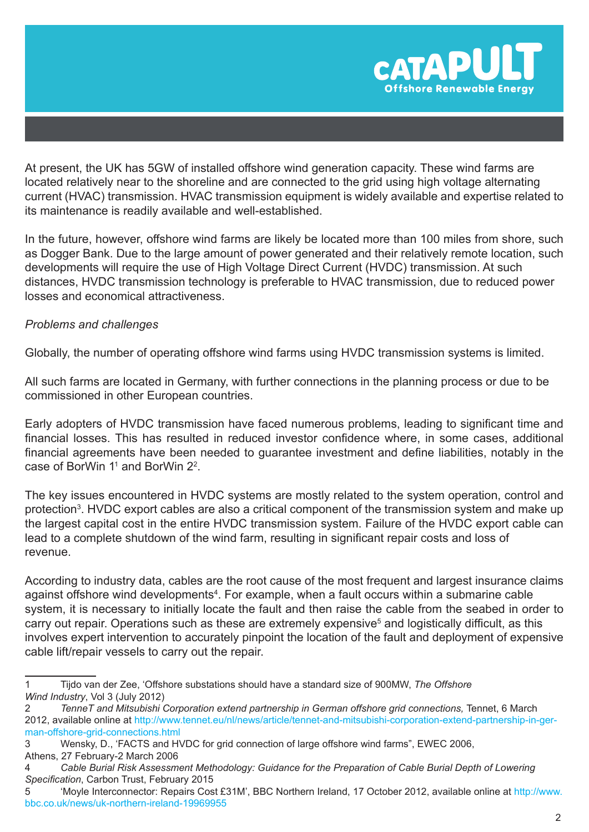

At present, the UK has 5GW of installed offshore wind generation capacity. These wind farms are located relatively near to the shoreline and are connected to the grid using high voltage alternating current (HVAC) transmission. HVAC transmission equipment is widely available and expertise related to its maintenance is readily available and well-established.

In the future, however, offshore wind farms are likely be located more than 100 miles from shore, such as Dogger Bank. Due to the large amount of power generated and their relatively remote location, such developments will require the use of High Voltage Direct Current (HVDC) transmission. At such distances, HVDC transmission technology is preferable to HVAC transmission, due to reduced power losses and economical attractiveness.

#### *Problems and challenges*

Globally, the number of operating offshore wind farms using HVDC transmission systems is limited.

All such farms are located in Germany, with further connections in the planning process or due to be commissioned in other European countries.

Early adopters of HVDC transmission have faced numerous problems, leading to significant time and financial losses. This has resulted in reduced investor confidence where, in some cases, additional financial agreements have been needed to guarantee investment and define liabilities, notably in the case of BorWin  $1^1$  and BorWin  $2^2$ .

The key issues encountered in HVDC systems are mostly related to the system operation, control and protection<sup>3</sup>. HVDC export cables are also a critical component of the transmission system and make up the largest capital cost in the entire HVDC transmission system. Failure of the HVDC export cable can lead to a complete shutdown of the wind farm, resulting in significant repair costs and loss of revenue.

According to industry data, cables are the root cause of the most frequent and largest insurance claims against offshore wind developments<sup>4</sup>. For example, when a fault occurs within a submarine cable system, it is necessary to initially locate the fault and then raise the cable from the seabed in order to carry out repair. Operations such as these are extremely expensive<sup>5</sup> and logistically difficult, as this involves expert intervention to accurately pinpoint the location of the fault and deployment of expensive cable lift/repair vessels to carry out the repair.

<sup>1</sup> Tijdo van der Zee, 'Offshore substations should have a standard size of 900MW, *The Offshore Wind Industry*, Vol 3 (July 2012)

<sup>2</sup> *TenneT and Mitsubishi Corporation extend partnership in German offshore grid connections,* Tennet, 6 March 2012, available online at http://[www.tennet.eu/nl/news/article/tennet-and-mitsubishi-corporation-extend-partnership-in-ger](http://www.tennet.eu/nl/news/article/tennet-and-mitsubishi-corporation-extend-partnership-in-german-offshore-grid-connections.html)[man-offshore-grid-connections.html](http://www.tennet.eu/nl/news/article/tennet-and-mitsubishi-corporation-extend-partnership-in-german-offshore-grid-connections.html)

<sup>3</sup> Wensky, D., 'FACTS and HVDC for grid connection of large offshore wind farms", EWEC 2006, Athens, 27 February-2 March 2006

<sup>4</sup> *Cable Burial Risk Assessment Methodology: Guidance for the Preparation of Cable Burial Depth of Lowering Specification*, Carbon Trust, February 2015

<sup>5</sup> 'Moyle Interconnector: Repairs Cost £31M', BBC Northern Ireland, 17 October 2012, available online at [http://www.](http://www.bbc.co.uk/news/uk-northern-ireland-19969955) [bbc.co.uk/news/uk-northern-ireland-19969955](http://www.bbc.co.uk/news/uk-northern-ireland-19969955)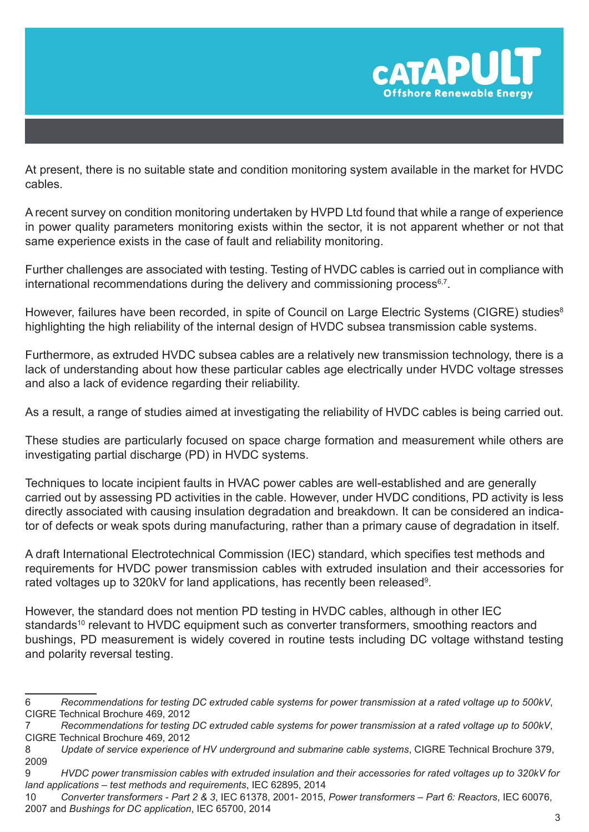

At present, there is no suitable state and condition monitoring system available in the market for HVDC cables.

A recent survey on condition monitoring undertaken by HVPD Ltd found that while a range of experience in power quality parameters monitoring exists within the sector, it is not apparent whether or not that same experience exists in the case of fault and reliability monitoring.

Further challenges are associated with testing. Testing of HVDC cables is carried out in compliance with international recommendations during the delivery and commissioning process $6,7$ .

However, failures have been recorded, in spite of Council on Large Electric Systems (CIGRE) studies<sup>8</sup> highlighting the high reliability of the internal design of HVDC subsea transmission cable systems.

Furthermore, as extruded HVDC subsea cables are a relatively new transmission technology, there is a lack of understanding about how these particular cables age electrically under HVDC voltage stresses and also a lack of evidence regarding their reliability.

As a result, a range of studies aimed at investigating the reliability of HVDC cables is being carried out.

These studies are particularly focused on space charge formation and measurement while others are investigating partial discharge (PD) in HVDC systems.

Techniques to locate incipient faults in HVAC power cables are well-established and are generally carried out by assessing PD activities in the cable. However, under HVDC conditions, PD activity is less directly associated with causing insulation degradation and breakdown. It can be considered an indicator of defects or weak spots during manufacturing, rather than a primary cause of degradation in itself.

A draft International Electrotechnical Commission (IEC) standard, which specifies test methods and requirements for HVDC power transmission cables with extruded insulation and their accessories for rated voltages up to 320kV for land applications, has recently been released<sup>9</sup>.

However, the standard does not mention PD testing in HVDC cables, although in other IEC standards<sup>10</sup> relevant to HVDC equipment such as converter transformers, smoothing reactors and bushings, PD measurement is widely covered in routine tests including DC voltage withstand testing and polarity reversal testing.

<sup>6</sup> *Recommendations for testing DC extruded cable systems for power transmission at a rated voltage up to 500kV*, CIGRE Technical Brochure 469, 2012

<sup>7</sup> *Recommendations for testing DC extruded cable systems for power transmission at a rated voltage up to 500kV*, CIGRE Technical Brochure 469, 2012

<sup>8</sup> *Update of service experience of HV underground and submarine cable systems*, CIGRE Technical Brochure 379, 2009

<sup>9</sup> *HVDC power transmission cables with extruded insulation and their accessories for rated voltages up to 320kV for land applications – test methods and requirements*, IEC 62895, 2014

<sup>10</sup> *Converter transformers - Part 2 & 3*, IEC 61378, 2001- 2015, *Power transformers – Part 6: Reactors*, IEC 60076, 2007 and *Bushings for DC application*, IEC 65700, 2014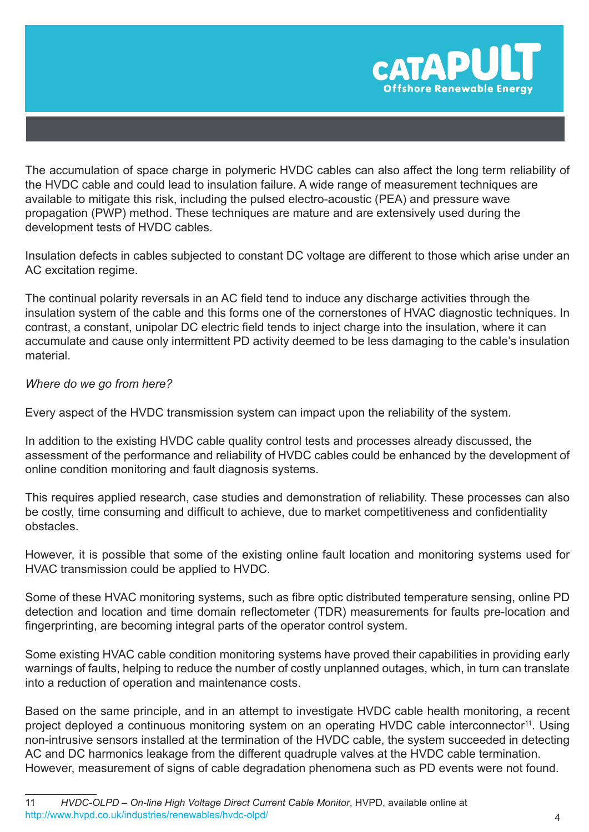

The accumulation of space charge in polymeric HVDC cables can also affect the long term reliability of the HVDC cable and could lead to insulation failure. A wide range of measurement techniques are available to mitigate this risk, including the pulsed electro-acoustic (PEA) and pressure wave propagation (PWP) method. These techniques are mature and are extensively used during the development tests of HVDC cables.

Insulation defects in cables subjected to constant DC voltage are different to those which arise under an AC excitation regime.

The continual polarity reversals in an AC field tend to induce any discharge activities through the insulation system of the cable and this forms one of the cornerstones of HVAC diagnostic techniques. In contrast, a constant, unipolar DC electric field tends to inject charge into the insulation, where it can accumulate and cause only intermittent PD activity deemed to be less damaging to the cable's insulation material.

#### *Where do we go from here?*

Every aspect of the HVDC transmission system can impact upon the reliability of the system.

In addition to the existing HVDC cable quality control tests and processes already discussed, the assessment of the performance and reliability of HVDC cables could be enhanced by the development of online condition monitoring and fault diagnosis systems.

This requires applied research, case studies and demonstration of reliability. These processes can also be costly, time consuming and difficult to achieve, due to market competitiveness and confidentiality obstacles.

However, it is possible that some of the existing online fault location and monitoring systems used for HVAC transmission could be applied to HVDC.

Some of these HVAC monitoring systems, such as fibre optic distributed temperature sensing, online PD detection and location and time domain reflectometer (TDR) measurements for faults pre-location and fingerprinting, are becoming integral parts of the operator control system.

Some existing HVAC cable condition monitoring systems have proved their capabilities in providing early warnings of faults, helping to reduce the number of costly unplanned outages, which, in turn can translate into a reduction of operation and maintenance costs.

Based on the same principle, and in an attempt to investigate HVDC cable health monitoring, a recent project deployed a continuous monitoring system on an operating HVDC cable interconnector<sup>11</sup>. Using non-intrusive sensors installed at the termination of the HVDC cable, the system succeeded in detecting AC and DC harmonics leakage from the different quadruple valves at the HVDC cable termination. However, measurement of signs of cable degradation phenomena such as PD events were not found.

<sup>11</sup> *HVDC-OLPD – On-line High Voltage Direct Current Cable Monitor*, HVPD, available online at <http://www.hvpd.co.uk/industries/renewables/hvdc-olpd/> 4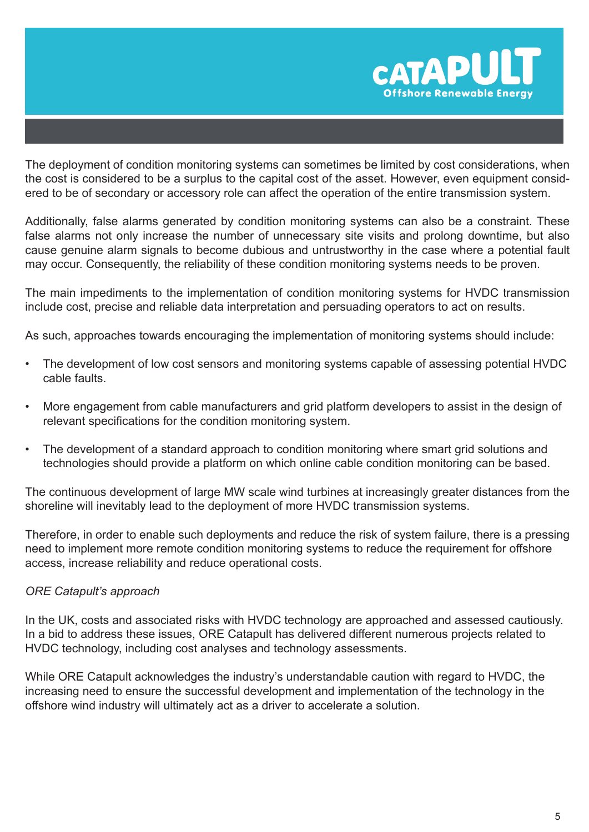

The deployment of condition monitoring systems can sometimes be limited by cost considerations, when the cost is considered to be a surplus to the capital cost of the asset. However, even equipment considered to be of secondary or accessory role can affect the operation of the entire transmission system.

Additionally, false alarms generated by condition monitoring systems can also be a constraint. These false alarms not only increase the number of unnecessary site visits and prolong downtime, but also cause genuine alarm signals to become dubious and untrustworthy in the case where a potential fault may occur. Consequently, the reliability of these condition monitoring systems needs to be proven.

The main impediments to the implementation of condition monitoring systems for HVDC transmission include cost, precise and reliable data interpretation and persuading operators to act on results.

As such, approaches towards encouraging the implementation of monitoring systems should include:

- The development of low cost sensors and monitoring systems capable of assessing potential HVDC cable faults.
- More engagement from cable manufacturers and grid platform developers to assist in the design of relevant specifications for the condition monitoring system.
- The development of a standard approach to condition monitoring where smart grid solutions and technologies should provide a platform on which online cable condition monitoring can be based.

The continuous development of large MW scale wind turbines at increasingly greater distances from the shoreline will inevitably lead to the deployment of more HVDC transmission systems.

Therefore, in order to enable such deployments and reduce the risk of system failure, there is a pressing need to implement more remote condition monitoring systems to reduce the requirement for offshore access, increase reliability and reduce operational costs.

#### *ORE Catapult's approach*

In the UK, costs and associated risks with HVDC technology are approached and assessed cautiously. In a bid to address these issues, ORE Catapult has delivered different numerous projects related to HVDC technology, including cost analyses and technology assessments.

While ORE Catapult acknowledges the industry's understandable caution with regard to HVDC, the increasing need to ensure the successful development and implementation of the technology in the offshore wind industry will ultimately act as a driver to accelerate a solution.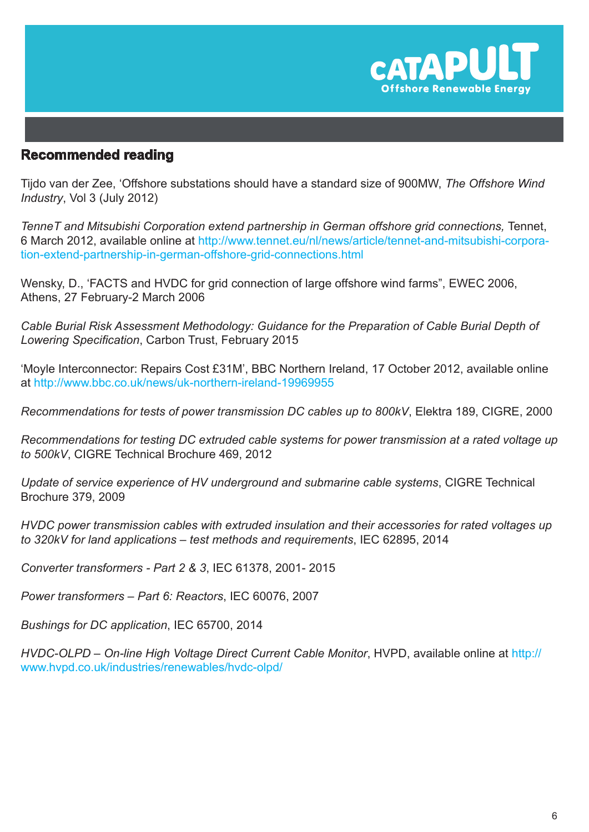

### **Recommended reading**

Tijdo van der Zee, 'Offshore substations should have a standard size of 900MW, *The Offshore Wind Industry*, Vol 3 (July 2012)

*TenneT and Mitsubishi Corporation extend partnership in German offshore grid connections,* Tennet, 6 March 2012, available online at http:/[/www.tennet.eu/nl/news/article/tennet-and-mitsubishi-corpora](http://www.tennet.eu/nl/news/article/tennet-and-mitsubishi-corporation-extend-partnership-in-german-offshore-grid-connections.html)[tion-extend-partnership-in-german-offshore-grid-connections.html](http://www.tennet.eu/nl/news/article/tennet-and-mitsubishi-corporation-extend-partnership-in-german-offshore-grid-connections.html)

Wensky, D., 'FACTS and HVDC for grid connection of large offshore wind farms", EWEC 2006, Athens, 27 February-2 March 2006

*Cable Burial Risk Assessment Methodology: Guidance for the Preparation of Cable Burial Depth of Lowering Specification*, Carbon Trust, February 2015

'Moyle Interconnector: Repairs Cost £31M', BBC Northern Ireland, 17 October 2012, available online at<http://www.bbc.co.uk/news/uk-northern-ireland-19969955>

*Recommendations for tests of power transmission DC cables up to 800kV*, Elektra 189, CIGRE, 2000

*Recommendations for testing DC extruded cable systems for power transmission at a rated voltage up to 500kV*, CIGRE Technical Brochure 469, 2012

*Update of service experience of HV underground and submarine cable systems*, CIGRE Technical Brochure 379, 2009

*HVDC power transmission cables with extruded insulation and their accessories for rated voltages up to 320kV for land applications – test methods and requirements*, IEC 62895, 2014

*Converter transformers - Part 2 & 3*, IEC 61378, 2001- 2015

*Power transformers – Part 6: Reactors*, IEC 60076, 2007

*Bushings for DC application*, IEC 65700, 2014

*HVDC-OLPD – On-line High Voltage Direct Current Cable Monitor*, HVPD, available online at [http://](http://www.hvpd.co.uk/industries/renewables/hvdc-olpd/) [www.hvpd.co.uk/industries/renewables/hvdc-olpd/](http://www.hvpd.co.uk/industries/renewables/hvdc-olpd/)